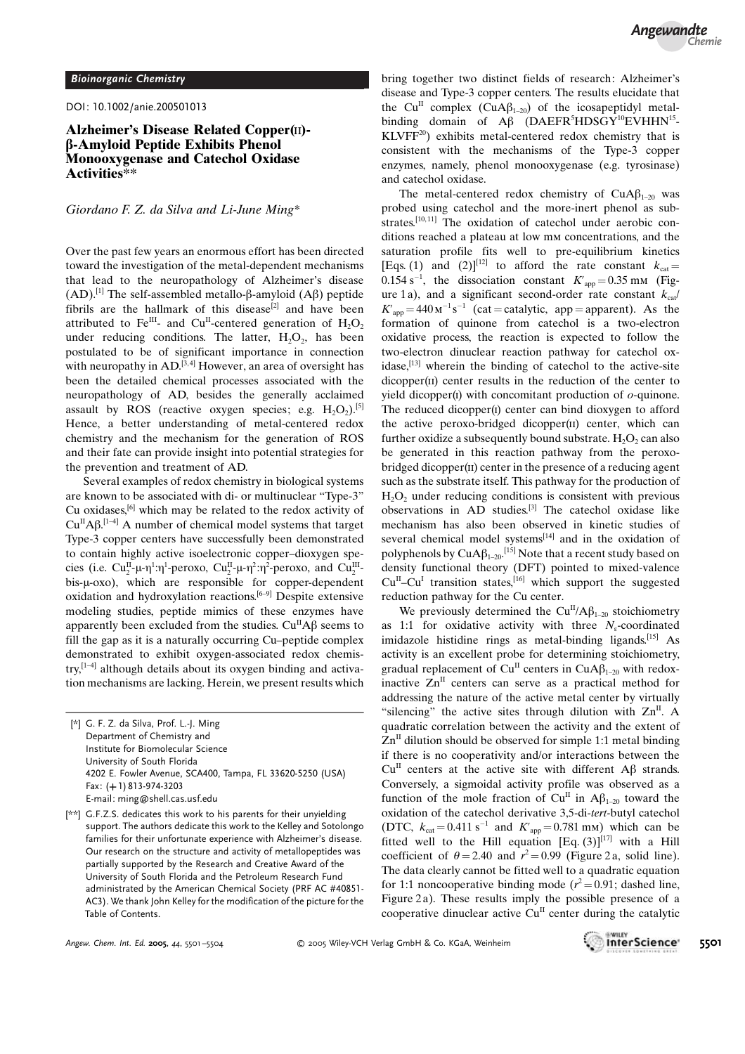DOI: 10.1002/anie.200501013

## Alzheimer's Disease Related Copper(II)b-Amyloid Peptide Exhibits Phenol Monooxygenase and Catechol Oxidase Activities\*\*

## Giordano F. Z. da Silva and Li-June Ming\*

Over the past few years an enormous effort has been directed toward the investigation of the metal-dependent mechanisms that lead to the neuropathology of Alzheimer's disease (AD).<sup>[1]</sup> The self-assembled metallo- $\beta$ -amyloid (A $\beta$ ) peptide fibrils are the hallmark of this disease<sup>[2]</sup> and have been attributed to Fe<sup>III</sup>- and Cu<sup>II</sup>-centered generation of H<sub>2</sub>O<sub>2</sub> under reducing conditions. The latter,  $H_2O_2$ , has been postulated to be of significant importance in connection with neuropathy in  $AD$ .<sup>[3,4]</sup> However, an area of oversight has been the detailed chemical processes associated with the neuropathology of AD, besides the generally acclaimed assault by ROS (reactive oxygen species; e.g.  $H_2O_2$ ).<sup>[5]</sup> Hence, a better understanding of metal-centered redox chemistry and the mechanism for the generation of ROS and their fate can provide insight into potential strategies for the prevention and treatment of AD.

Several examples of redox chemistry in biological systems are known to be associated with di- or multinuclear "Type-3" Cu oxidases,[6] which may be related to the redox activity of  $Cu<sup>H</sup>A\beta$ .<sup>[1-4]</sup> A number of chemical model systems that target Type-3 copper centers have successfully been demonstrated to contain highly active isoelectronic copper–dioxygen species (i.e.  $Cu_2^H$ - $\mu$ - $\eta$ <sup>1</sup>: $\eta$ <sup>1</sup>-peroxo,  $Cu_2^H$ - $\mu$ - $\eta$ <sup>2</sup>: $\eta$ <sup>2</sup>-peroxo, and  $Cu_2^H$ bis-µ-oxo), which are responsible for copper-dependent oxidation and hydroxylation reactions.<sup>[6–9]</sup> Despite extensive modeling studies, peptide mimics of these enzymes have apparently been excluded from the studies.  $Cu<sup>H</sup>AB$  seems to fill the gap as it is a naturally occurring Cu–peptide complex demonstrated to exhibit oxygen-associated redox chemis $try,$ <sup>[1-4]</sup> although details about its oxygen binding and activation mechanisms are lacking. Herein, we present results which

- [\*] G. F. Z. da Silva, Prof. L.-J. Ming Department of Chemistry and Institute for Biomolecular Science University of South Florida 4202 E. Fowler Avenue, SCA400, Tampa, FL 33620-5250 (USA) Fax: (+1) 813-974-3203 E-mail: ming@shell.cas.usf.edu
- [\*\*] G.F.Z.S. dedicates this work to his parents for their unyielding support. The authors dedicate this work to the Kelley and Sotolongo families for their unfortunate experience with Alzheimer's disease. Our research on the structure and activity of metallopeptides was partially supported by the Research and Creative Award of the University of South Florida and the Petroleum Research Fund administrated by the American Chemical Society (PRF AC #40851- AC3). We thank John Kelley for the modification of the picture for the Table of Contents.

bring together two distinct fields of research: Alzheimer's disease and Type-3 copper centers. The results elucidate that the Cu<sup>II</sup> complex (CuA $\beta_{1-20}$ ) of the icosapeptidyl metalbinding domain of  $A\beta$  (DAEFR<sup>5</sup>HDSGY<sup>10</sup>EVHHN<sup>15</sup>- $KLVFF<sup>20</sup>$ ) exhibits metal-centered redox chemistry that is consistent with the mechanisms of the Type-3 copper enzymes, namely, phenol monooxygenase (e.g. tyrosinase) and catechol oxidase.

The metal-centered redox chemistry of  $CuA\beta_{1-20}$  was probed using catechol and the more-inert phenol as substrates.<sup>[10,11]</sup> The oxidation of catechol under aerobic conditions reached a plateau at low mm concentrations, and the saturation profile fits well to pre-equilibrium kinetics [Eqs. (1) and (2)]<sup>[12]</sup> to afford the rate constant  $k_{cat}$  = 0.154 s<sup>-1</sup>, the dissociation constant  $K'_{app} = 0.35$  mm (Figure 1a), and a significant second-order rate constant  $k_{\text{cat}}$  $K'_{app} = 440 \text{ m}^{-1} \text{ s}^{-1}$  (cat = catalytic, app = apparent). As the formation of quinone from catechol is a two-electron oxidative process, the reaction is expected to follow the two-electron dinuclear reaction pathway for catechol oxidase,<sup>[13]</sup> wherein the binding of catechol to the active-site dicopper(II) center results in the reduction of the center to yield dicopper(i) with concomitant production of  $o$ -quinone. The reduced dicopper(i) center can bind dioxygen to afford the active peroxo-bridged dicopper(ii) center, which can further oxidize a subsequently bound substrate.  $H_2O_2$  can also be generated in this reaction pathway from the peroxobridged dicopper(ii) center in the presence of a reducing agent such as the substrate itself. This pathway for the production of  $H<sub>2</sub>O<sub>2</sub>$  under reducing conditions is consistent with previous observations in AD studies.[3] The catechol oxidase like mechanism has also been observed in kinetic studies of several chemical model systems<sup>[14]</sup> and in the oxidation of polyphenols by  $\mathrm{CuA}\beta_{1\text{--}20}$ .<sup>[15]</sup> Note that a recent study based on density functional theory (DFT) pointed to mixed-valence  $Cu<sup>H</sup>-Cu<sup>I</sup>$  transition states,<sup>[16]</sup> which support the suggested reduction pathway for the Cu center.

We previously determined the Cu<sup>II</sup>/A $\beta_{1-20}$  stoichiometry as 1:1 for oxidative activity with three  $N_e$ -coordinated imidazole histidine rings as metal-binding ligands.<sup>[15]</sup> As activity is an excellent probe for determining stoichiometry, gradual replacement of Cu<sup>II</sup> centers in CuA $\beta_{1-20}$  with redoxinactive  $Zn^{II}$  centers can serve as a practical method for addressing the nature of the active metal center by virtually "silencing" the active sites through dilution with  $Zn^{II}$ . A quadratic correlation between the activity and the extent of  $\text{Zn}^{\text{II}}$  dilution should be observed for simple 1:1 metal binding if there is no cooperativity and/or interactions between the  $Cu<sup>H</sup>$  centers at the active site with different A $\beta$  strands. Conversely, a sigmoidal activity profile was observed as a function of the mole fraction of  $Cu^{II}$  in  $A\beta_{1-20}$  toward the oxidation of the catechol derivative 3,5-di-tert-butyl catechol (DTC,  $k_{cat} = 0.411 \text{ s}^{-1}$  and  $K'_{app} = 0.781 \text{ mm}$ ) which can be fitted well to the Hill equation  $[Eq. (3)]^{[17]}$  with a Hill coefficient of  $\theta = 2.40$  and  $r^2 = 0.99$  (Figure 2 a, solid line). The data clearly cannot be fitted well to a quadratic equation for 1:1 noncooperative binding mode ( $r^2 = 0.91$ ; dashed line, Figure 2a). These results imply the possible presence of a cooperative dinuclear active  $Cu<sup>H</sup>$  center during the catalytic

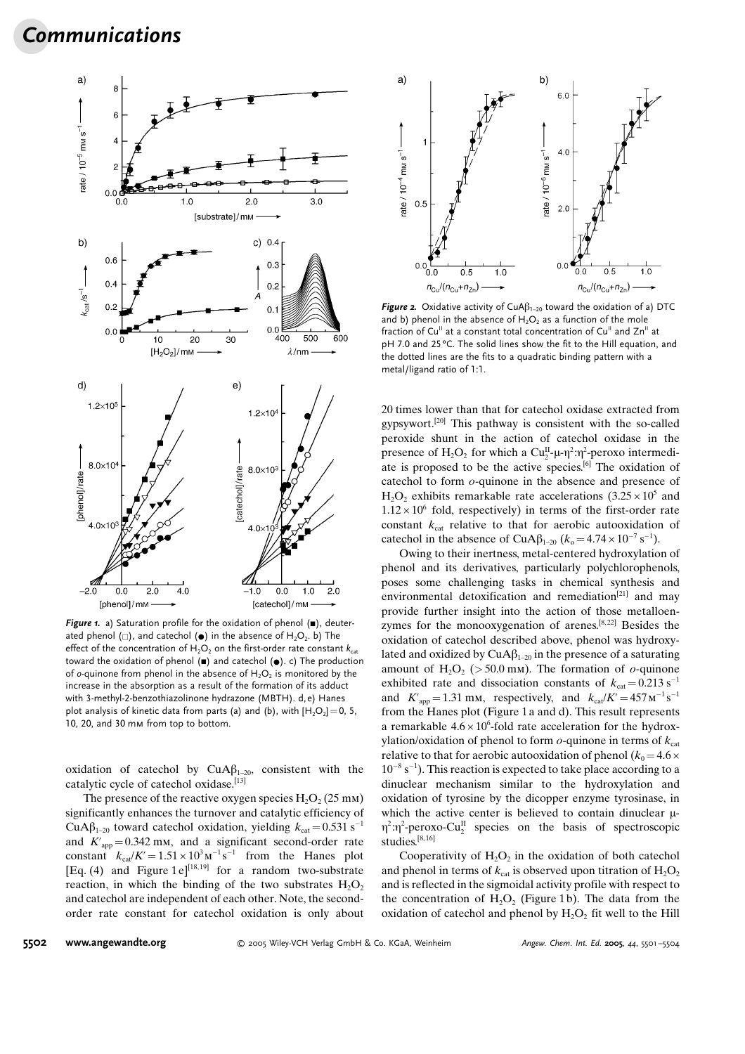## Communications



Figure 1. a) Saturation profile for the oxidation of phenol  $($ , deuterated phenol ( $\Box$ ), and catechol ( $\bullet$ ) in the absence of H<sub>2</sub>O<sub>2</sub>. b) The effect of the concentration of  $H_2O_2$  on the first-order rate constant  $k_{\text{cat}}$ toward the oxidation of phenol  $(\blacksquare)$  and catechol  $(\lozenge)$ . c) The production of o-quinone from phenol in the absence of  $H_2O_2$  is monitored by the increase in the absorption as a result of the formation of its adduct with 3-methyl-2-benzothiazolinone hydrazone (MBTH). d, e) Hanes plot analysis of kinetic data from parts (a) and (b), with  $[H_2O_2]=0$ , 5, 10, 20, and 30 mm from top to bottom.

oxidation of catechol by  $CuA\beta_{1-20}$ , consistent with the catalytic cycle of catechol oxidase.<sup>[13]</sup>

The presence of the reactive oxygen species  $H_2O_2$  (25 mm) significantly enhances the turnover and catalytic efficiency of CuA $\beta_{1-20}$  toward catechol oxidation, yielding  $k_{\text{cat}} = 0.531 \text{ s}^{-1}$ and  $K'_{app} = 0.342$  mm, and a significant second-order rate constant  $k_{\text{cat}}/K' = 1.51 \times 10^3 \text{m}^{-1} \text{ s}^{-1}$  from the Hanes plot [Eq. (4) and Figure 1e]<sup>[18,19]</sup> for a random two-substrate reaction, in which the binding of the two substrates  $H_2O_2$ and catechol are independent of each other. Note, the secondorder rate constant for catechol oxidation is only about



Figure 2. Oxidative activity of  $CuA\beta_{1-20}$  toward the oxidation of a) DTC and b) phenol in the absence of  $H_2O_2$  as a function of the mole fraction of Cu<sup>II</sup> at a constant total concentration of Cu<sup>II</sup> and Zn<sup>II</sup> at pH 7.0 and 25 °C. The solid lines show the fit to the Hill equation, and the dotted lines are the fits to a quadratic binding pattern with a metal/ligand ratio of 1:1.

20 times lower than that for catechol oxidase extracted from gypsywort.[20] This pathway is consistent with the so-called peroxide shunt in the action of catechol oxidase in the presence of  $H_2O_2$  for which a  $Cu_2^H$ - $\mu$ - $\eta$ <sup>2</sup>: $\eta$ <sup>2</sup>-peroxo intermediate is proposed to be the active species.[6] The oxidation of catechol to form o-quinone in the absence and presence of  $H_2O_2$  exhibits remarkable rate accelerations  $(3.25 \times 10^5$  and  $1.12 \times 10^6$  fold, respectively) in terms of the first-order rate constant  $k_{\text{cat}}$  relative to that for aerobic autooxidation of catechol in the absence of CuA $\beta_{1-20}$  ( $k_{o} = 4.74 \times 10^{-7} \text{ s}^{-1}$ ).

Owing to their inertness, metal-centered hydroxylation of phenol and its derivatives, particularly polychlorophenols, poses some challenging tasks in chemical synthesis and environmental detoxification and remediation<sup>[21]</sup> and may provide further insight into the action of those metalloenzymes for the monooxygenation of arenes.<sup>[8,22]</sup> Besides the oxidation of catechol described above, phenol was hydroxylated and oxidized by  $CuA\beta_{1-20}$  in the presence of a saturating amount of  $H_2O_2$  (> 50.0 mm). The formation of *o*-quinone exhibited rate and dissociation constants of  $k_{\text{cat}} = 0.213 \text{ s}^{-1}$ and  $K'_{app} = 1.31$  mm, respectively, and  $k_{cat}/K' = 457 \text{ m}^{-1} \text{s}^{-1}$ from the Hanes plot (Figure 1a and d). This result represents a remarkable  $4.6 \times 10^6$ -fold rate acceleration for the hydroxylation/oxidation of phenol to form  $o$ -quinone in terms of  $k_{\text{cat}}$ relative to that for aerobic autooxidation of phenol ( $k_0 = 4.6 \times$  $10^{-8}$  s<sup>-1</sup>). This reaction is expected to take place according to a dinuclear mechanism similar to the hydroxylation and oxidation of tyrosine by the dicopper enzyme tyrosinase, in which the active center is believed to contain dinuclear  $\mu$ - $\eta^2$ : $\eta^2$ -peroxo-Cu<sup>II</sup> species on the basis of spectroscopic studies.<sup>[8,16]</sup>

Cooperativity of  $H_2O_2$  in the oxidation of both catechol and phenol in terms of  $k_{\text{cat}}$  is observed upon titration of  $H_2O_2$ and is reflected in the sigmoidal activity profile with respect to the concentration of  $H_2O_2$  (Figure 1b). The data from the oxidation of catechol and phenol by  $H_2O_2$  fit well to the Hill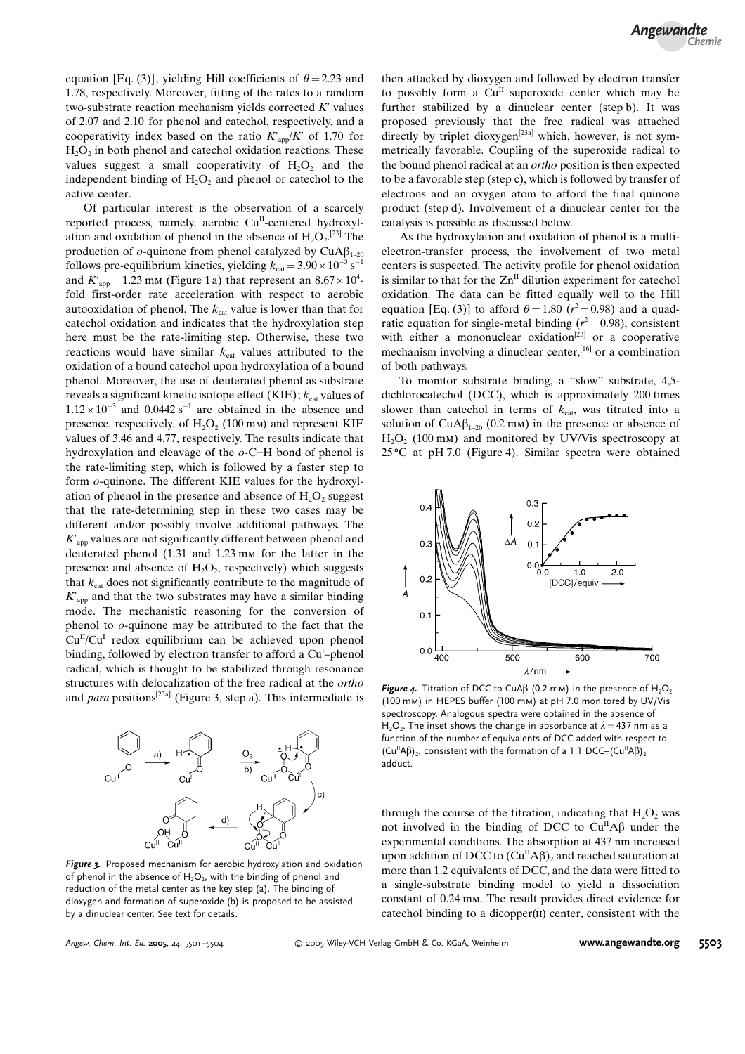equation [Eq. (3)], yielding Hill coefficients of  $\theta = 2.23$  and 1.78, respectively. Moreover, fitting of the rates to a random two-substrate reaction mechanism yields corrected  $K'$  values of 2.07 and 2.10 for phenol and catechol, respectively, and a cooperativity index based on the ratio  $K'_{\text{app}}/K'$  of 1.70 for  $H<sub>2</sub>O<sub>2</sub>$  in both phenol and catechol oxidation reactions. These values suggest a small cooperativity of  $H_2O_2$  and the independent binding of  $H_2O_2$  and phenol or catechol to the active center.

Of particular interest is the observation of a scarcely reported process, namely, aerobic Cu<sup>II</sup>-centered hydroxylation and oxidation of phenol in the absence of  $H_2O_2$ .<sup>[23]</sup> The production of  $o$ -quinone from phenol catalyzed by CuA $\beta_{1-20}$ follows pre-equilibrium kinetics, yielding  $k_{\text{cat}} = 3.90 \times 10^{-3} \text{ s}^{-1}$ and  $K'_{app} = 1.23$  mm (Figure 1 a) that represent an  $8.67 \times 10^4$ fold first-order rate acceleration with respect to aerobic autooxidation of phenol. The  $k_{\text{cat}}$  value is lower than that for catechol oxidation and indicates that the hydroxylation step here must be the rate-limiting step. Otherwise, these two reactions would have similar  $k_{\text{cat}}$  values attributed to the oxidation of a bound catechol upon hydroxylation of a bound phenol. Moreover, the use of deuterated phenol as substrate reveals a significant kinetic isotope effect (KIE);  $k_{\text{cat}}$  values of  $1.12 \times 10^{-3}$  and 0.0442 s<sup>-1</sup> are obtained in the absence and presence, respectively, of  $H_2O_2$  (100 mm) and represent KIE values of 3.46 and 4.77, respectively. The results indicate that hydroxylation and cleavage of the  $o$ -C-H bond of phenol is the rate-limiting step, which is followed by a faster step to form o-quinone. The different KIE values for the hydroxylation of phenol in the presence and absence of  $H_2O_2$  suggest that the rate-determining step in these two cases may be different and/or possibly involve additional pathways. The  $K'_{\text{app}}$  values are not significantly different between phenol and deuterated phenol (1.31 and 1.23 mm for the latter in the presence and absence of  $H_2O_2$ , respectively) which suggests that  $k_{\text{cat}}$  does not significantly contribute to the magnitude of  $K'_{\text{ann}}$  and that the two substrates may have a similar binding mode. The mechanistic reasoning for the conversion of phenol to o-quinone may be attributed to the fact that the  $Cu<sup>I</sup>/Cu<sup>I</sup>$  redox equilibrium can be achieved upon phenol binding, followed by electron transfer to afford a Cu<sup>I</sup>-phenol radical, which is thought to be stabilized through resonance structures with delocalization of the free radical at the ortho and *para* positions<sup>[23a]</sup> (Figure 3, step a). This intermediate is



Figure 3. Proposed mechanism for aerobic hydroxylation and oxidation of phenol in the absence of  $H_2O_2$ , with the binding of phenol and reduction of the metal center as the key step (a). The binding of dioxygen and formation of superoxide (b) is proposed to be assisted by a dinuclear center. See text for details.

then attacked by dioxygen and followed by electron transfer to possibly form a  $Cu<sup>H</sup>$  superoxide center which may be further stabilized by a dinuclear center (step b). It was proposed previously that the free radical was attached directly by triplet dioxygen<sup>[23a]</sup> which, however, is not symmetrically favorable. Coupling of the superoxide radical to the bound phenol radical at an *ortho* position is then expected to be a favorable step (step c), which is followed by transfer of electrons and an oxygen atom to afford the final quinone product (step d). Involvement of a dinuclear center for the catalysis is possible as discussed below.

As the hydroxylation and oxidation of phenol is a multielectron-transfer process, the involvement of two metal centers is suspected. The activity profile for phenol oxidation is similar to that for the  $\text{Zn}^{\text{II}}$  dilution experiment for catechol oxidation. The data can be fitted equally well to the Hill equation [Eq. (3)] to afford  $\theta = 1.80$  ( $r^2 = 0.98$ ) and a quadratic equation for single-metal binding ( $r^2 = 0.98$ ), consistent with either a mononuclear oxidation<sup>[23]</sup> or a cooperative mechanism involving a dinuclear center,<sup>[16]</sup> or a combination of both pathways.

To monitor substrate binding, a "slow" substrate, 4,5 dichlorocatechol (DCC), which is approximately 200 times slower than cate chol in terms of  $k_{\text{cat}}$ , was titrated into a solution of CuA $\beta_{1-20}$  (0.2 mm) in the presence or absence of  $H<sub>2</sub>O<sub>2</sub>$  (100 mm) and monitored by UV/Vis spectroscopy at  $25^{\circ}$ C at pH 7.0 (Figure 4). Similar spectra were obtained



Figure 4. Titration of DCC to CuA $\beta$  (0.2 mm) in the presence of H<sub>2</sub>O<sub>2</sub> (100 mm) in HEPES buffer (100 mm) at pH 7.0 monitored by UV/Vis spectroscopy. Analogous spectra were obtained in the absence of H<sub>2</sub>O<sub>2</sub>. The inset shows the change in absorbance at  $\lambda$  = 437 nm as a function of the number of equivalents of DCC added with respect to  $(Cu^{\parallel}A\beta)$ , consistent with the formation of a 1:1 DCC– $(Cu^{\parallel}A\beta)$ , adduct.

through the course of the titration, indicating that  $H_2O_2$  was not involved in the binding of DCC to  $Cu<sup>H</sup>A\beta$  under the experimental conditions. The absorption at 437 nm increased upon addition of DCC to  $(Cu^{\text{II}}A\beta)$ , and reached saturation at more than 1.2 equivalents of DCC, and the data were fitted to a single-substrate binding model to yield a dissociation constant of 0.24 mm. The result provides direct evidence for catechol binding to a dicopper(ii) center, consistent with the